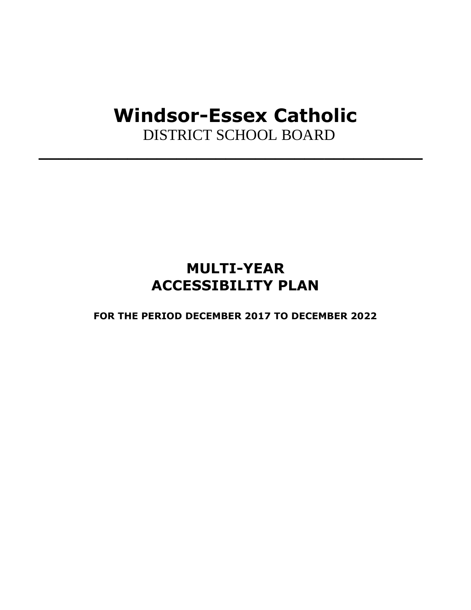# **Windsor-Essex Catholic**

**\_\_\_\_\_\_\_\_\_\_\_\_\_\_\_\_\_\_\_\_\_\_\_\_\_\_\_\_\_\_\_\_\_\_\_\_\_\_\_**

DISTRICT SCHOOL BOARD

### **MULTI-YEAR ACCESSIBILITY PLAN**

**FOR THE PERIOD DECEMBER 2017 TO DECEMBER 2022**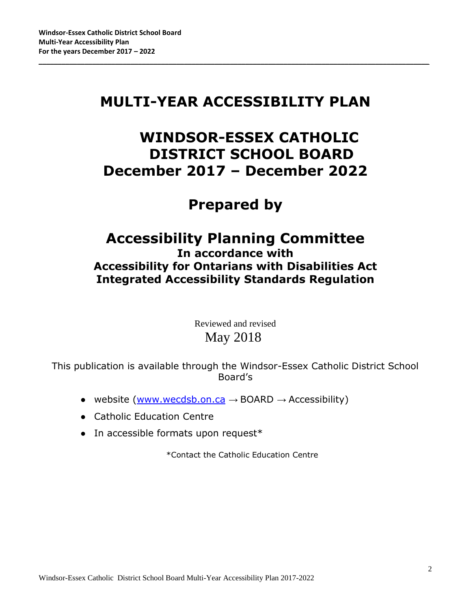### **MULTI-YEAR ACCESSIBILITY PLAN**

\_\_\_\_\_\_\_\_\_\_\_\_\_\_\_\_\_\_\_\_\_\_\_\_\_\_\_\_\_\_\_\_\_\_\_\_\_\_\_\_\_\_\_\_\_\_\_\_\_\_\_\_\_\_\_\_\_\_\_\_\_\_\_\_\_\_\_\_\_\_\_\_\_\_\_\_\_\_\_\_\_\_\_\_\_\_\_\_\_\_\_\_\_\_\_\_\_\_\_\_\_\_

### **WINDSOR-ESSEX CATHOLIC DISTRICT SCHOOL BOARD December 2017 – December 2022**

# **Prepared by**

### **Accessibility Planning Committee In accordance with Accessibility for Ontarians with Disabilities Act Integrated Accessibility Standards Regulation**

Reviewed and revised May 2018

This publication is available through the Windsor-Essex Catholic District School Board's

- website  $(www.wecdsb.on.ca \rightarrow BOARD \rightarrow Accessibility)$  $(www.wecdsb.on.ca \rightarrow BOARD \rightarrow Accessibility)$
- Catholic Education Centre
- In accessible formats upon request\*

\*Contact the Catholic Education Centre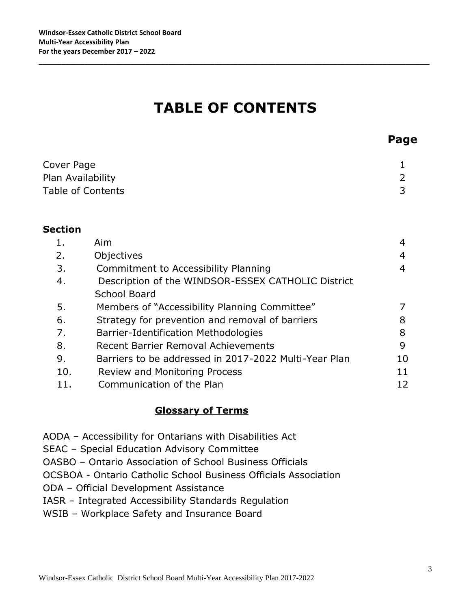# **TABLE OF CONTENTS**

\_\_\_\_\_\_\_\_\_\_\_\_\_\_\_\_\_\_\_\_\_\_\_\_\_\_\_\_\_\_\_\_\_\_\_\_\_\_\_\_\_\_\_\_\_\_\_\_\_\_\_\_\_\_\_\_\_\_\_\_\_\_\_\_\_\_\_\_\_\_\_\_\_\_\_\_\_\_\_\_\_\_\_\_\_\_\_\_\_\_\_\_\_\_\_\_\_\_\_\_\_\_

| Cover Page        |  |
|-------------------|--|
| Plan Availability |  |
| Table of Contents |  |
|                   |  |

#### **Section**

|     | Aim                                                   | 4  |
|-----|-------------------------------------------------------|----|
| 2.  | Objectives                                            | 4  |
| 3.  | Commitment to Accessibility Planning                  | 4  |
| 4.  | Description of the WINDSOR-ESSEX CATHOLIC District    |    |
|     | <b>School Board</b>                                   |    |
| 5.  | Members of "Accessibility Planning Committee"         |    |
| 6.  | Strategy for prevention and removal of barriers       | 8  |
| 7.  | Barrier-Identification Methodologies                  | 8  |
| 8.  | Recent Barrier Removal Achievements                   | 9  |
| 9.  | Barriers to be addressed in 2017-2022 Multi-Year Plan | 10 |
| 10. | <b>Review and Monitoring Process</b>                  | 11 |
|     | Communication of the Plan                             | 12 |

#### **Glossary of Terms**

- AODA Accessibility for Ontarians with Disabilities Act
- SEAC Special Education Advisory Committee
- OASBO Ontario Association of School Business Officials
- OCSBOA Ontario Catholic School Business Officials Association
- ODA Official Development Assistance
- IASR Integrated Accessibility Standards Regulation
- WSIB Workplace Safety and Insurance Board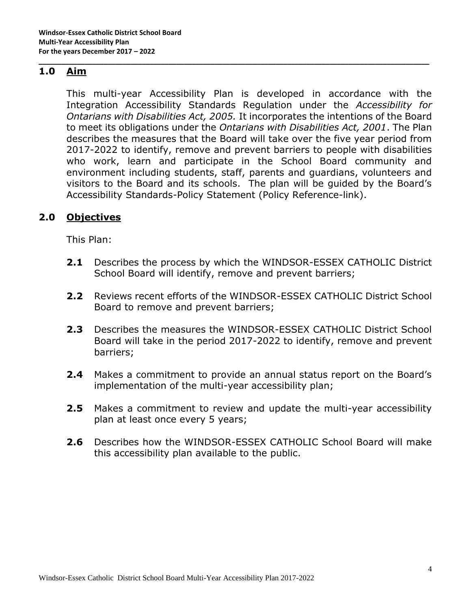#### **1.0 Aim**

This multi-year Accessibility Plan is developed in accordance with the Integration Accessibility Standards Regulation under the *Accessibility for Ontarians with Disabilities Act, 2005.* It incorporates the intentions of the Board to meet its obligations under the *Ontarians with Disabilities Act, 2001*. The Plan describes the measures that the Board will take over the five year period from 2017-2022 to identify, remove and prevent barriers to people with disabilities who work, learn and participate in the School Board community and environment including students, staff, parents and guardians, volunteers and visitors to the Board and its schools. The plan will be guided by the Board's Accessibility Standards-Policy Statement (Policy Reference-link).

\_\_\_\_\_\_\_\_\_\_\_\_\_\_\_\_\_\_\_\_\_\_\_\_\_\_\_\_\_\_\_\_\_\_\_\_\_\_\_\_\_\_\_\_\_\_\_\_\_\_\_\_\_\_\_\_\_\_\_\_\_\_\_\_\_\_\_\_\_\_\_\_\_\_\_\_\_\_\_\_\_\_\_\_\_\_\_\_\_\_\_\_\_\_\_\_\_\_\_\_\_\_

#### **2.0 Objectives**

This Plan:

- **2.1** Describes the process by which the WINDSOR-ESSEX CATHOLIC District School Board will identify, remove and prevent barriers;
- **2.2** Reviews recent efforts of the WINDSOR-ESSEX CATHOLIC District School Board to remove and prevent barriers;
- **2.3** Describes the measures the WINDSOR-ESSEX CATHOLIC District School Board will take in the period 2017-2022 to identify, remove and prevent barriers;
- **2.4** Makes a commitment to provide an annual status report on the Board's implementation of the multi-year accessibility plan;
- **2.5** Makes a commitment to review and update the multi-year accessibility plan at least once every 5 years;
- **2.6** Describes how the WINDSOR-ESSEX CATHOLIC School Board will make this accessibility plan available to the public.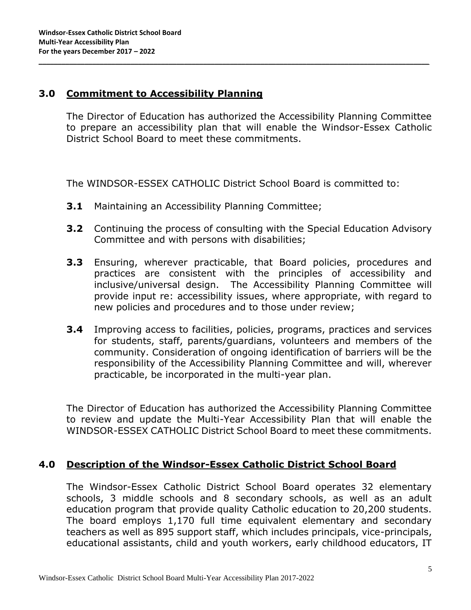#### **3.0 Commitment to Accessibility Planning**

The Director of Education has authorized the Accessibility Planning Committee to prepare an accessibility plan that will enable the Windsor-Essex Catholic District School Board to meet these commitments.

The WINDSOR-ESSEX CATHOLIC District School Board is committed to:

\_\_\_\_\_\_\_\_\_\_\_\_\_\_\_\_\_\_\_\_\_\_\_\_\_\_\_\_\_\_\_\_\_\_\_\_\_\_\_\_\_\_\_\_\_\_\_\_\_\_\_\_\_\_\_\_\_\_\_\_\_\_\_\_\_\_\_\_\_\_\_\_\_\_\_\_\_\_\_\_\_\_\_\_\_\_\_\_\_\_\_\_\_\_\_\_\_\_\_\_\_\_

- **3.1** Maintaining an Accessibility Planning Committee;
- **3.2** Continuing the process of consulting with the Special Education Advisory Committee and with persons with disabilities;
- **3.3** Ensuring, wherever practicable, that Board policies, procedures and practices are consistent with the principles of accessibility and inclusive/universal design. The Accessibility Planning Committee will provide input re: accessibility issues, where appropriate, with regard to new policies and procedures and to those under review;
- **3.4** Improving access to facilities, policies, programs, practices and services for students, staff, parents/guardians, volunteers and members of the community. Consideration of ongoing identification of barriers will be the responsibility of the Accessibility Planning Committee and will, wherever practicable, be incorporated in the multi-year plan.

The Director of Education has authorized the Accessibility Planning Committee to review and update the Multi-Year Accessibility Plan that will enable the WINDSOR-ESSEX CATHOLIC District School Board to meet these commitments.

#### **4.0 Description of the Windsor-Essex Catholic District School Board**

The Windsor-Essex Catholic District School Board operates 32 elementary schools, 3 middle schools and 8 secondary schools, as well as an adult education program that provide quality Catholic education to 20,200 students. The board employs 1,170 full time equivalent elementary and secondary teachers as well as 895 support staff, which includes principals, vice-principals, educational assistants, child and youth workers, early childhood educators, IT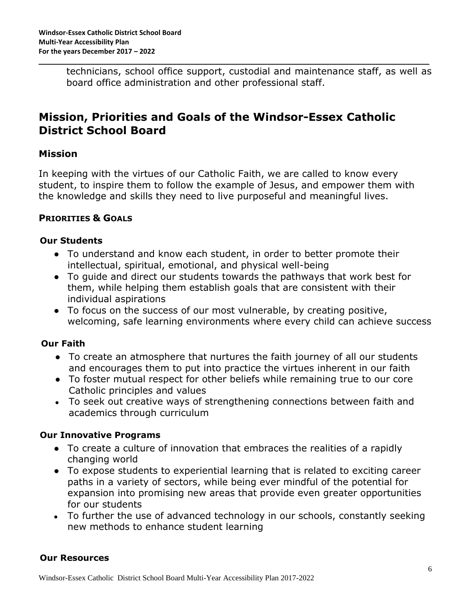technicians, school office support, custodial and maintenance staff, as well as board office administration and other professional staff.

\_\_\_\_\_\_\_\_\_\_\_\_\_\_\_\_\_\_\_\_\_\_\_\_\_\_\_\_\_\_\_\_\_\_\_\_\_\_\_\_\_\_\_\_\_\_\_\_\_\_\_\_\_\_\_\_\_\_\_\_\_\_\_\_\_\_\_\_\_\_\_\_\_\_\_\_\_\_\_\_\_\_\_\_\_\_\_\_\_\_\_\_\_\_\_\_\_\_\_\_\_\_

### **Mission, Priorities and Goals of the Windsor-Essex Catholic District School Board**

#### **Mission**

In keeping with the virtues of our Catholic Faith, we are called to know every student, to inspire them to follow the example of Jesus, and empower them with the knowledge and skills they need to live purposeful and meaningful lives.

#### **PRIORITIES & GOALS**

#### **Our Students**

- To understand and know each student, in order to better promote their intellectual, spiritual, emotional, and physical well-being
- To guide and direct our students towards the pathways that work best for them, while helping them establish goals that are consistent with their individual aspirations
- To focus on the success of our most vulnerable, by creating positive, welcoming, safe learning environments where every child can achieve success

#### **Our Faith**

- To create an atmosphere that nurtures the faith journey of all our students and encourages them to put into practice the virtues inherent in our faith
- To foster mutual respect for other beliefs while remaining true to our core Catholic principles and values
- To seek out creative ways of strengthening connections between faith and academics through curriculum

#### **Our Innovative Programs**

- To create a culture of innovation that embraces the realities of a rapidly changing world
- To expose students to experiential learning that is related to exciting career paths in a variety of sectors, while being ever mindful of the potential for expansion into promising new areas that provide even greater opportunities for our students
- To further the use of advanced technology in our schools, constantly seeking new methods to enhance student learning

#### **Our Resources**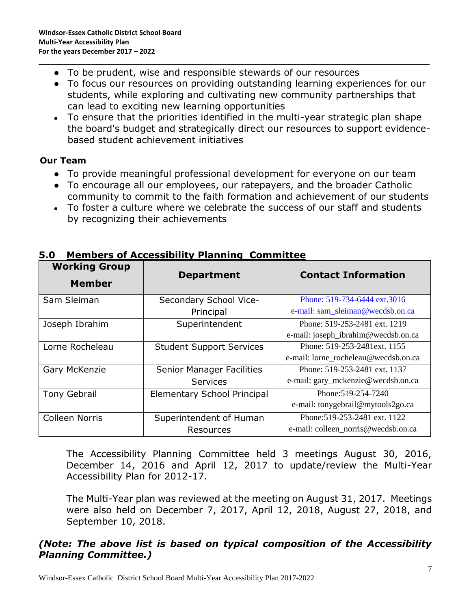- To be prudent, wise and responsible stewards of our resources
- To focus our resources on providing outstanding learning experiences for our students, while exploring and cultivating new community partnerships that can lead to exciting new learning opportunities

\_\_\_\_\_\_\_\_\_\_\_\_\_\_\_\_\_\_\_\_\_\_\_\_\_\_\_\_\_\_\_\_\_\_\_\_\_\_\_\_\_\_\_\_\_\_\_\_\_\_\_\_\_\_\_\_\_\_\_\_\_\_\_\_\_\_\_\_\_\_\_\_\_\_\_\_\_\_\_\_\_\_\_\_\_\_\_\_\_\_\_\_\_\_\_\_\_\_\_\_\_\_

• To ensure that the priorities identified in the multi-year strategic plan shape the board's budget and strategically direct our resources to support evidencebased student achievement initiatives

#### **Our Team**

- To provide meaningful professional development for everyone on our team
- To encourage all our employees, our ratepayers, and the broader Catholic community to commit to the faith formation and achievement of our students
- To foster a culture where we celebrate the success of our staff and students by recognizing their achievements

| <b>Working Group</b><br><b>Member</b> | <b>Department</b>                  | <b>Contact Information</b>           |  |
|---------------------------------------|------------------------------------|--------------------------------------|--|
| Sam Sleiman                           | Secondary School Vice-             | Phone: 519-734-6444 ext.3016         |  |
|                                       | Principal                          | e-mail: sam_sleiman@wecdsb.on.ca     |  |
| Joseph Ibrahim                        | Superintendent                     | Phone: 519-253-2481 ext. 1219        |  |
|                                       |                                    | e-mail: joseph_ibrahim@wecdsb.on.ca  |  |
| Lorne Rocheleau                       | <b>Student Support Services</b>    | Phone: 519-253-2481 ext. 1155        |  |
|                                       |                                    | e-mail: lorne_rocheleau@wecdsb.on.ca |  |
| Gary McKenzie                         | <b>Senior Manager Facilities</b>   | Phone: 519-253-2481 ext. 1137        |  |
|                                       | <b>Services</b>                    | e-mail: gary_mckenzie@wecdsb.on.ca   |  |
| <b>Tony Gebrail</b>                   | <b>Elementary School Principal</b> | Phone: 519-254-7240                  |  |
|                                       |                                    | e-mail: tonygebrail@mytools2go.ca    |  |
| <b>Colleen Norris</b>                 | Superintendent of Human            | Phone: 519-253-2481 ext. 1122        |  |
|                                       | <b>Resources</b>                   | e-mail: colleen_norris@wecdsb.on.ca  |  |

#### **5.0 Members of Accessibility Planning Committee**

The Accessibility Planning Committee held 3 meetings August 30, 2016, December 14, 2016 and April 12, 2017 to update/review the Multi-Year Accessibility Plan for 2012-17.

The Multi-Year plan was reviewed at the meeting on August 31, 2017. Meetings were also held on December 7, 2017, April 12, 2018, August 27, 2018, and September 10, 2018.

#### *(Note: The above list is based on typical composition of the Accessibility Planning Committee.)*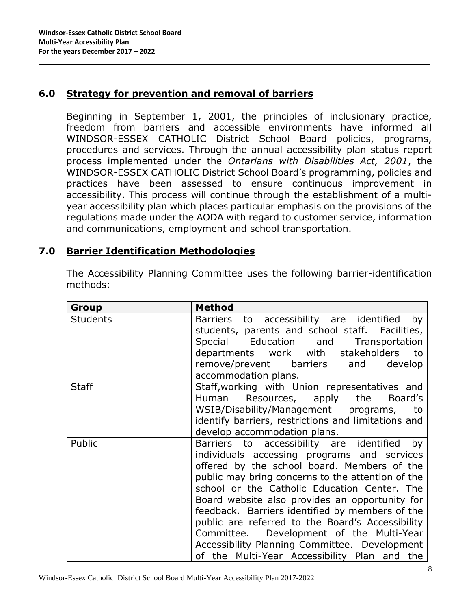#### **6.0 Strategy for prevention and removal of barriers**

Beginning in September 1, 2001, the principles of inclusionary practice, freedom from barriers and accessible environments have informed all WINDSOR-ESSEX CATHOLIC District School Board policies, programs, procedures and services. Through the annual accessibility plan status report process implemented under the *Ontarians with Disabilities Act, 2001*, the WINDSOR-ESSEX CATHOLIC District School Board's programming, policies and practices have been assessed to ensure continuous improvement in accessibility. This process will continue through the establishment of a multiyear accessibility plan which places particular emphasis on the provisions of the regulations made under the AODA with regard to customer service, information and communications, employment and school transportation.

\_\_\_\_\_\_\_\_\_\_\_\_\_\_\_\_\_\_\_\_\_\_\_\_\_\_\_\_\_\_\_\_\_\_\_\_\_\_\_\_\_\_\_\_\_\_\_\_\_\_\_\_\_\_\_\_\_\_\_\_\_\_\_\_\_\_\_\_\_\_\_\_\_\_\_\_\_\_\_\_\_\_\_\_\_\_\_\_\_\_\_\_\_\_\_\_\_\_\_\_\_\_

#### **7.0 Barrier Identification Methodologies**

The Accessibility Planning Committee uses the following barrier-identification methods:

| Group           | <b>Method</b>                                       |  |  |
|-----------------|-----------------------------------------------------|--|--|
| <b>Students</b> | to accessibility are identified<br>Barriers<br>by   |  |  |
|                 | students, parents and school staff. Facilities,     |  |  |
|                 | Special Education and Transportation                |  |  |
|                 | departments work with stakeholders<br>to            |  |  |
|                 | remove/prevent barriers and<br>develop              |  |  |
|                 | accommodation plans.                                |  |  |
| <b>Staff</b>    | Staff, working with Union representatives and       |  |  |
|                 | Human Resources, apply the<br>Board's               |  |  |
|                 | WSIB/Disability/Management programs,<br>to          |  |  |
|                 | identify barriers, restrictions and limitations and |  |  |
|                 | develop accommodation plans.                        |  |  |
| Public          | Barriers to accessibility are identified<br>by      |  |  |
|                 | individuals accessing programs and services         |  |  |
|                 | offered by the school board. Members of the         |  |  |
|                 | public may bring concerns to the attention of the   |  |  |
|                 | school or the Catholic Education Center. The        |  |  |
|                 | Board website also provides an opportunity for      |  |  |
|                 | feedback. Barriers identified by members of the     |  |  |
|                 | public are referred to the Board's Accessibility    |  |  |
|                 | Committee. Development of the Multi-Year            |  |  |
|                 | Accessibility Planning Committee. Development       |  |  |
|                 | of the Multi-Year Accessibility Plan and the        |  |  |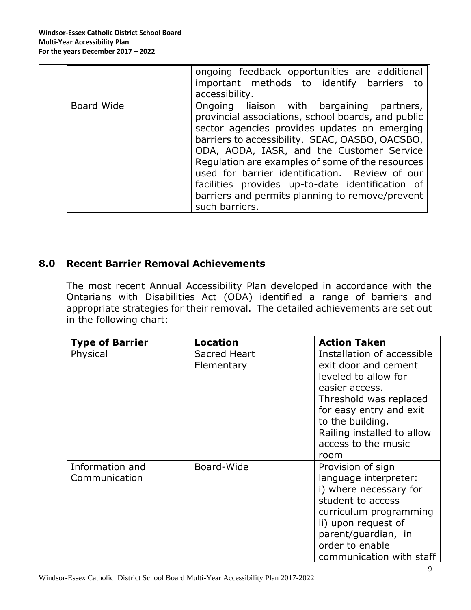|            | ongoing feedback opportunities are additional<br>important methods to identify barriers to                                                                                                                                                                               |  |  |
|------------|--------------------------------------------------------------------------------------------------------------------------------------------------------------------------------------------------------------------------------------------------------------------------|--|--|
|            | accessibility.                                                                                                                                                                                                                                                           |  |  |
| Board Wide | Ongoing liaison with bargaining partners,<br>provincial associations, school boards, and public<br>sector agencies provides updates on emerging<br>barriers to accessibility. SEAC, OASBO, OACSBO,                                                                       |  |  |
|            | ODA, AODA, IASR, and the Customer Service<br>Regulation are examples of some of the resources<br>used for barrier identification. Review of our<br>facilities provides up-to-date identification of<br>barriers and permits planning to remove/prevent<br>such barriers. |  |  |

\_\_\_\_\_\_\_\_\_\_\_\_\_\_\_\_\_\_\_\_\_\_\_\_\_\_\_\_\_\_\_\_\_\_\_\_\_\_\_\_\_\_\_\_\_\_\_\_\_\_\_\_\_\_\_\_\_\_\_\_\_\_\_\_\_\_\_\_\_\_\_\_\_\_\_\_\_\_\_\_\_\_\_\_\_\_\_\_\_\_\_\_\_\_\_\_\_\_\_\_\_\_

#### **8.0 Recent Barrier Removal Achievements**

The most recent Annual Accessibility Plan developed in accordance with the Ontarians with Disabilities Act (ODA) identified a range of barriers and appropriate strategies for their removal. The detailed achievements are set out in the following chart:

| <b>Type of Barrier</b> | <b>Location</b> | <b>Action Taken</b>        |
|------------------------|-----------------|----------------------------|
| Physical               | Sacred Heart    | Installation of accessible |
|                        | Elementary      | exit door and cement       |
|                        |                 | leveled to allow for       |
|                        |                 | easier access.             |
|                        |                 | Threshold was replaced     |
|                        |                 | for easy entry and exit    |
|                        |                 | to the building.           |
|                        |                 | Railing installed to allow |
|                        |                 | access to the music        |
|                        |                 | room                       |
| Information and        | Board-Wide      | Provision of sign          |
| Communication          |                 | language interpreter:      |
|                        |                 | i) where necessary for     |
|                        |                 | student to access          |
|                        |                 | curriculum programming     |
|                        |                 | ii) upon request of        |
|                        |                 | parent/guardian, in        |
|                        |                 | order to enable            |
|                        |                 | communication with staff   |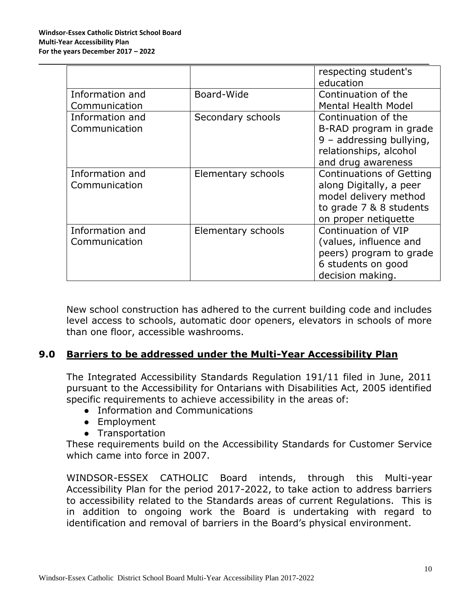|                 |                    | respecting student's<br>education |
|-----------------|--------------------|-----------------------------------|
| Information and | Board-Wide         | Continuation of the               |
| Communication   |                    | <b>Mental Health Model</b>        |
| Information and | Secondary schools  | Continuation of the               |
| Communication   |                    | B-RAD program in grade            |
|                 |                    | $9 -$ addressing bullying,        |
|                 |                    | relationships, alcohol            |
|                 |                    | and drug awareness                |
| Information and | Elementary schools | <b>Continuations of Getting</b>   |
| Communication   |                    | along Digitally, a peer           |
|                 |                    | model delivery method             |
|                 |                    | to grade 7 & 8 students           |
|                 |                    | on proper netiquette              |
| Information and | Elementary schools | Continuation of VIP               |
| Communication   |                    | (values, influence and            |
|                 |                    | peers) program to grade           |
|                 |                    | 6 students on good                |
|                 |                    | decision making.                  |

\_\_\_\_\_\_\_\_\_\_\_\_\_\_\_\_\_\_\_\_\_\_\_\_\_\_\_\_\_\_\_\_\_\_\_\_\_\_\_\_\_\_\_\_\_\_\_\_\_\_\_\_\_\_\_\_\_\_\_\_\_\_\_\_\_\_\_\_\_\_\_\_\_\_\_\_\_\_\_\_\_\_\_\_\_\_\_\_\_\_\_\_\_\_\_\_\_\_\_\_\_\_

New school construction has adhered to the current building code and includes level access to schools, automatic door openers, elevators in schools of more than one floor, accessible washrooms.

#### **9.0 Barriers to be addressed under the Multi-Year Accessibility Plan**

The Integrated Accessibility Standards Regulation 191/11 filed in June, 2011 pursuant to the Accessibility for Ontarians with Disabilities Act, 2005 identified specific requirements to achieve accessibility in the areas of:

- Information and Communications
- Employment
- Transportation

These requirements build on the Accessibility Standards for Customer Service which came into force in 2007.

WINDSOR-ESSEX CATHOLIC Board intends, through this Multi-year Accessibility Plan for the period 2017-2022, to take action to address barriers to accessibility related to the Standards areas of current Regulations. This is in addition to ongoing work the Board is undertaking with regard to identification and removal of barriers in the Board's physical environment.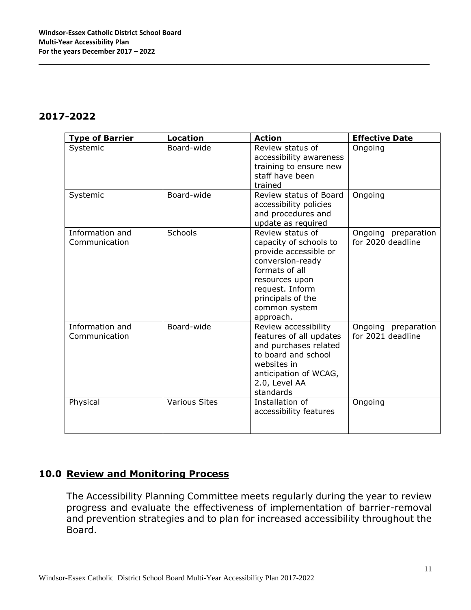#### **2017-2022**

| <b>Type of Barrier</b>           | <b>Location</b>      | <b>Action</b>                                                                                                                                                                                     | <b>Effective Date</b>                    |
|----------------------------------|----------------------|---------------------------------------------------------------------------------------------------------------------------------------------------------------------------------------------------|------------------------------------------|
| Systemic                         | Board-wide           | Review status of<br>accessibility awareness<br>training to ensure new<br>staff have been<br>trained                                                                                               | Ongoing                                  |
| Systemic                         | Board-wide           | Review status of Board<br>accessibility policies<br>and procedures and<br>update as required                                                                                                      | Ongoing                                  |
| Information and<br>Communication | <b>Schools</b>       | Review status of<br>capacity of schools to<br>provide accessible or<br>conversion-ready<br>formats of all<br>resources upon<br>request. Inform<br>principals of the<br>common system<br>approach. | Ongoing preparation<br>for 2020 deadline |
| Information and<br>Communication | Board-wide           | Review accessibility<br>features of all updates<br>and purchases related<br>to board and school<br>websites in<br>anticipation of WCAG,<br>2.0, Level AA<br>standards                             | Ongoing preparation<br>for 2021 deadline |
| Physical                         | <b>Various Sites</b> | Installation of<br>accessibility features                                                                                                                                                         | Ongoing                                  |

\_\_\_\_\_\_\_\_\_\_\_\_\_\_\_\_\_\_\_\_\_\_\_\_\_\_\_\_\_\_\_\_\_\_\_\_\_\_\_\_\_\_\_\_\_\_\_\_\_\_\_\_\_\_\_\_\_\_\_\_\_\_\_\_\_\_\_\_\_\_\_\_\_\_\_\_\_\_\_\_\_\_\_\_\_\_\_\_\_\_\_\_\_\_\_\_\_\_\_\_\_\_

#### **10.0 Review and Monitoring Process**

The Accessibility Planning Committee meets regularly during the year to review progress and evaluate the effectiveness of implementation of barrier-removal and prevention strategies and to plan for increased accessibility throughout the Board.